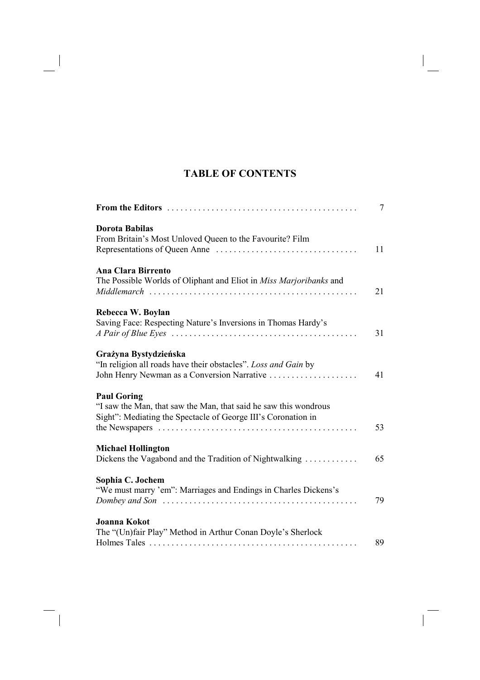## **TABLE OF CONTENTS**

|                                                                                                                                                                                             | 7  |
|---------------------------------------------------------------------------------------------------------------------------------------------------------------------------------------------|----|
| <b>Dorota Babilas</b><br>From Britain's Most Unloved Queen to the Favourite? Film                                                                                                           | 11 |
| <b>Ana Clara Birrento</b><br>The Possible Worlds of Oliphant and Eliot in Miss Marjoribanks and                                                                                             | 21 |
| Rebecca W. Boylan<br>Saving Face: Respecting Nature's Inversions in Thomas Hardy's                                                                                                          | 31 |
| Grażyna Bystydzieńska<br>"In religion all roads have their obstacles". Loss and Gain by<br>John Henry Newman as a Conversion Narrative                                                      | 41 |
| <b>Paul Goring</b><br>"I saw the Man, that saw the Man, that said he saw this wondrous<br>Sight": Mediating the Spectacle of George III's Coronation in                                     | 53 |
| <b>Michael Hollington</b><br>Dickens the Vagabond and the Tradition of Nightwalking                                                                                                         | 65 |
| Sophia C. Jochem<br>"We must marry 'em": Marriages and Endings in Charles Dickens's<br>Dombey and Son $\ldots \ldots \ldots \ldots \ldots \ldots \ldots \ldots \ldots \ldots \ldots \ldots$ | 79 |
| <b>Joanna Kokot</b><br>The "(Un)fair Play" Method in Arthur Conan Doyle's Sherlock                                                                                                          | 89 |